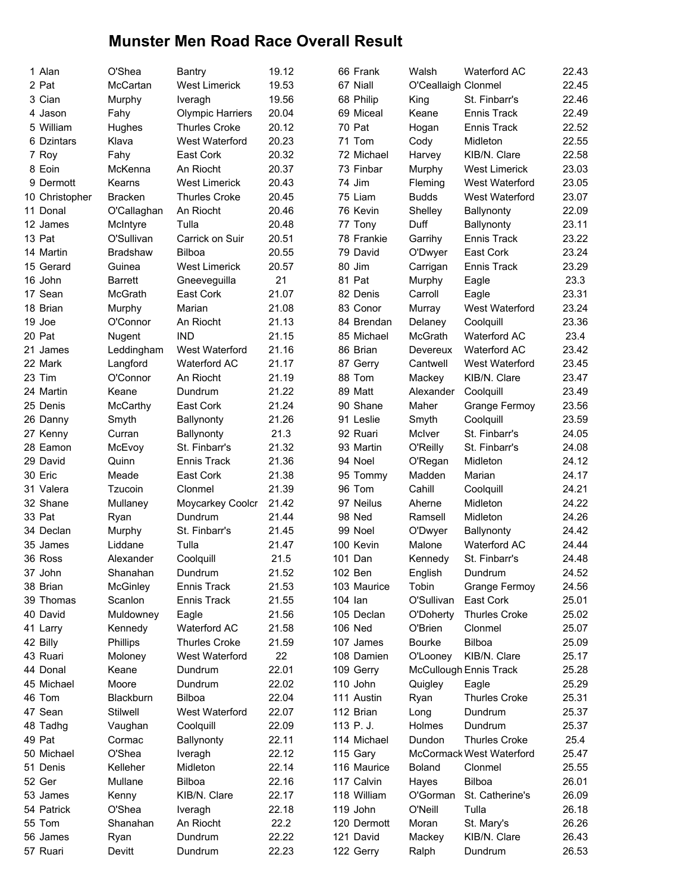## Munster Men Road Race Overall Result

| 1 Alan         | O'Shea          | <b>Bantry</b>           | 19.12 | 66 Frank    | Walsh               | <b>Waterford AC</b>      | 22.43 |
|----------------|-----------------|-------------------------|-------|-------------|---------------------|--------------------------|-------|
| 2 Pat          | McCartan        | <b>West Limerick</b>    | 19.53 | 67 Niall    | O'Ceallaigh Clonmel |                          | 22.45 |
| 3 Cian         | Murphy          | Iveragh                 | 19.56 | 68 Philip   | King                | St. Finbarr's            | 22.46 |
| 4 Jason        | Fahy            | <b>Olympic Harriers</b> | 20.04 | 69 Miceal   | Keane               | Ennis Track              | 22.49 |
| 5 William      | Hughes          | <b>Thurles Croke</b>    | 20.12 | 70 Pat      | Hogan               | Ennis Track              | 22.52 |
| 6 Dzintars     | Klava           | West Waterford          | 20.23 | 71 Tom      | Cody                | Midleton                 | 22.55 |
| 7 Roy          | Fahy            | East Cork               | 20.32 | 72 Michael  | Harvey              | KIB/N. Clare             | 22.58 |
| 8 Eoin         | McKenna         | An Riocht               | 20.37 | 73 Finbar   | Murphy              | <b>West Limerick</b>     | 23.03 |
| 9 Dermott      | Kearns          | <b>West Limerick</b>    | 20.43 | 74 Jim      | Fleming             | West Waterford           | 23.05 |
| 10 Christopher | <b>Bracken</b>  | <b>Thurles Croke</b>    | 20.45 | 75 Liam     | <b>Budds</b>        | West Waterford           | 23.07 |
| 11 Donal       | O'Callaghan     | An Riocht               | 20.46 | 76 Kevin    | Shelley             | Ballynonty               | 22.09 |
| 12 James       | McIntyre        | Tulla                   | 20.48 | 77 Tony     | Duff                | Ballynonty               | 23.11 |
| 13 Pat         | O'Sullivan      | Carrick on Suir         | 20.51 | 78 Frankie  | Garrihy             | Ennis Track              | 23.22 |
| 14 Martin      | <b>Bradshaw</b> | Bilboa                  | 20.55 | 79 David    | O'Dwyer             | East Cork                | 23.24 |
| 15 Gerard      | Guinea          | <b>West Limerick</b>    | 20.57 | 80 Jim      | Carrigan            | Ennis Track              | 23.29 |
| 16 John        | <b>Barrett</b>  | Gneeveguilla            | 21    | 81 Pat      | Murphy              | Eagle                    | 23.3  |
| 17 Sean        | McGrath         | East Cork               | 21.07 | 82 Denis    | Carroll             | Eagle                    | 23.31 |
| 18 Brian       | Murphy          | Marian                  | 21.08 | 83 Conor    | Murray              | West Waterford           | 23.24 |
| 19 Joe         | O'Connor        | An Riocht               | 21.13 | 84 Brendan  | Delaney             | Coolquill                | 23.36 |
| 20 Pat         | Nugent          | <b>IND</b>              | 21.15 | 85 Michael  | McGrath             | Waterford AC             | 23.4  |
| 21 James       | Leddingham      | West Waterford          | 21.16 | 86 Brian    | Devereux            | Waterford AC             | 23.42 |
| 22 Mark        | Langford        | <b>Waterford AC</b>     | 21.17 | 87 Gerry    | Cantwell            | West Waterford           | 23.45 |
| 23 Tim         | O'Connor        | An Riocht               | 21.19 | 88 Tom      | Mackey              | KIB/N. Clare             | 23.47 |
| 24 Martin      | Keane           | Dundrum                 | 21.22 | 89 Matt     | Alexander           | Coolquill                | 23.49 |
| 25 Denis       | McCarthy        | East Cork               | 21.24 | 90 Shane    | Maher               | Grange Fermoy            | 23.56 |
| 26 Danny       | Smyth           | <b>Ballynonty</b>       | 21.26 | 91 Leslie   | Smyth               | Coolquill                | 23.59 |
| 27 Kenny       | Curran          | <b>Ballynonty</b>       | 21.3  | 92 Ruari    | McIver              | St. Finbarr's            | 24.05 |
| 28 Eamon       | McEvoy          | St. Finbarr's           | 21.32 | 93 Martin   | O'Reilly            | St. Finbarr's            | 24.08 |
| 29 David       | Quinn           | Ennis Track             | 21.36 | 94 Noel     | O'Regan             | Midleton                 | 24.12 |
| 30 Eric        | Meade           | East Cork               | 21.38 | 95 Tommy    | Madden              | Marian                   | 24.17 |
| 31 Valera      | Tzucoin         | Clonmel                 | 21.39 | 96 Tom      | Cahill              | Coolquill                | 24.21 |
| 32 Shane       | Mullaney        | Moycarkey Coolcr        | 21.42 | 97 Neilus   | Aherne              | Midleton                 | 24.22 |
| 33 Pat         | Ryan            | Dundrum                 | 21.44 | 98 Ned      | Ramsell             | Midleton                 | 24.26 |
| 34 Declan      | Murphy          | St. Finbarr's           | 21.45 | 99 Noel     | O'Dwyer             | Ballynonty               | 24.42 |
| 35 James       | Liddane         | Tulla                   | 21.47 | 100 Kevin   | Malone              | <b>Waterford AC</b>      | 24.44 |
| 36 Ross        | Alexander       | Coolquill               | 21.5  | 101 Dan     | Kennedy             | St. Finbarr's            | 24.48 |
| 37 John        | Shanahan        | Dundrum                 | 21.52 | 102 Ben     | English             | Dundrum                  | 24.52 |
| 38 Brian       | <b>McGinley</b> | Ennis Track             | 21.53 | 103 Maurice | Tobin               | <b>Grange Fermoy</b>     | 24.56 |
| 39 Thomas      | Scanlon         | Ennis Track             | 21.55 | 104 lan     | O'Sullivan          | East Cork                | 25.01 |
| 40 David       | Muldowney       | Eagle                   | 21.56 | 105 Declan  | O'Doherty           | <b>Thurles Croke</b>     | 25.02 |
| 41 Larry       | Kennedy         | Waterford AC            | 21.58 | 106 Ned     | O'Brien             | Clonmel                  | 25.07 |
| 42 Billy       | Phillips        | <b>Thurles Croke</b>    | 21.59 | 107 James   | <b>Bourke</b>       | Bilboa                   | 25.09 |
| 43 Ruari       | Moloney         | West Waterford          | 22    | 108 Damien  | O'Looney            | KIB/N. Clare             | 25.17 |
| 44 Donal       | Keane           | Dundrum                 | 22.01 | 109 Gerry   |                     | McCullough Ennis Track   | 25.28 |
| 45 Michael     | Moore           | Dundrum                 | 22.02 | 110 John    | Quigley             | Eagle                    | 25.29 |
| 46 Tom         | Blackburn       | <b>Bilboa</b>           | 22.04 | 111 Austin  | Ryan                | <b>Thurles Croke</b>     | 25.31 |
| 47 Sean        | Stilwell        | West Waterford          | 22.07 | 112 Brian   | Long                | Dundrum                  | 25.37 |
| 48 Tadhg       | Vaughan         | Coolquill               | 22.09 | 113 P.J.    | Holmes              | Dundrum                  | 25.37 |
| 49 Pat         | Cormac          | Ballynonty              | 22.11 | 114 Michael | Dundon              | Thurles Croke            | 25.4  |
| 50 Michael     | O'Shea          | Iveragh                 | 22.12 | 115 Gary    |                     | McCormack West Waterford | 25.47 |
| 51 Denis       | Kelleher        | Midleton                | 22.14 | 116 Maurice | <b>Boland</b>       | Clonmel                  | 25.55 |
| 52 Ger         | Mullane         | Bilboa                  | 22.16 | 117 Calvin  | Hayes               | Bilboa                   | 26.01 |
| 53 James       | Kenny           | KIB/N. Clare            | 22.17 | 118 William | O'Gorman            | St. Catherine's          | 26.09 |
| 54 Patrick     | O'Shea          | Iveragh                 | 22.18 | 119 John    | O'Neill             | Tulla                    | 26.18 |
| 55 Tom         | Shanahan        | An Riocht               | 22.2  | 120 Dermott | Moran               | St. Mary's               | 26.26 |
| 56 James       | Ryan            | Dundrum                 | 22.22 | 121 David   | Mackey              | KIB/N. Clare             | 26.43 |
| 57 Ruari       | Devitt          | Dundrum                 | 22.23 | 122 Gerry   | Ralph               | Dundrum                  | 26.53 |
|                |                 |                         |       |             |                     |                          |       |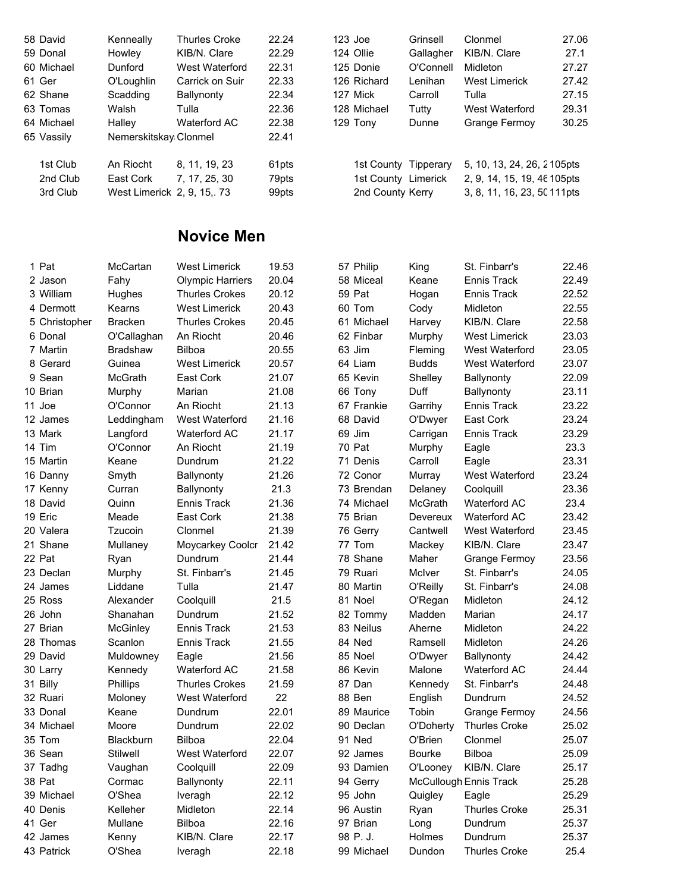|          | Kenneally                                                                                                                | Thurles Croke   | 22.24                                                             |  | Grinsell                                                                                  | Clonmel                                                         | 27.06 |
|----------|--------------------------------------------------------------------------------------------------------------------------|-----------------|-------------------------------------------------------------------|--|-------------------------------------------------------------------------------------------|-----------------------------------------------------------------|-------|
|          | Howley                                                                                                                   | KIB/N. Clare    | 22.29                                                             |  | Gallagher                                                                                 | KIB/N. Clare                                                    | 27.1  |
|          | Dunford                                                                                                                  | West Waterford  | 22.31                                                             |  | O'Connell                                                                                 | Midleton                                                        | 27.27 |
|          | O'Loughlin                                                                                                               | Carrick on Suir | 22.33                                                             |  | Lenihan                                                                                   | West Limerick                                                   | 27.42 |
|          | Scadding                                                                                                                 | Ballynonty      | 22.34                                                             |  | Carroll                                                                                   | Tulla                                                           | 27.15 |
|          | Walsh                                                                                                                    | Tulla           | 22.36                                                             |  | Tutty                                                                                     | West Waterford                                                  | 29.31 |
|          | Halley                                                                                                                   | Waterford AC    | 22.38                                                             |  | Dunne                                                                                     | Grange Fermov                                                   | 30.25 |
|          |                                                                                                                          |                 | 22.41                                                             |  |                                                                                           |                                                                 |       |
| 1st Club | An Riocht                                                                                                                |                 | 61pts                                                             |  |                                                                                           | 5, 10, 13, 24, 26, 2105pts                                      |       |
|          | East Cork                                                                                                                | 7.17.25.30      | 79pts                                                             |  |                                                                                           | 2, 9, 14, 15, 19, 46 105 pts                                    |       |
|          |                                                                                                                          |                 | 99pts                                                             |  |                                                                                           | 3, 8, 11, 16, 23, 50 111 pts                                    |       |
|          | 58 David<br>59 Donal<br>60 Michael<br>61 Ger<br>62 Shane<br>63 Tomas<br>64 Michael<br>65 Vassily<br>2nd Club<br>3rd Club |                 | Nemerskitskay Clonmel<br>8.11.19.23<br>West Limerick 2, 9, 15, 73 |  | $123$ Joe<br>124 Ollie<br>125 Donie<br>126 Richard<br>127 Mick<br>128 Michael<br>129 Tony | 1st County Tipperary<br>1st County Limerick<br>2nd County Kerry |       |

## Novice Men

| 1 Pat         | McCartan        | <b>West Limerick</b>    | 19.53 | 57 Philip  | King         | St. Finbarr's          | 22.46 |
|---------------|-----------------|-------------------------|-------|------------|--------------|------------------------|-------|
| 2 Jason       | Fahy            | <b>Olympic Harriers</b> | 20.04 | 58 Miceal  | Keane        | Ennis Track            | 22.49 |
| 3 William     | Hughes          | <b>Thurles Crokes</b>   | 20.12 | 59 Pat     | Hogan        | <b>Ennis Track</b>     | 22.52 |
| 4 Dermott     | Kearns          | <b>West Limerick</b>    | 20.43 | 60 Tom     | Cody         | Midleton               | 22.55 |
| 5 Christopher | <b>Bracken</b>  | <b>Thurles Crokes</b>   | 20.45 | 61 Michael | Harvey       | KIB/N. Clare           | 22.58 |
| 6 Donal       | O'Callaghan     | An Riocht               | 20.46 | 62 Finbar  | Murphy       | <b>West Limerick</b>   | 23.03 |
| 7 Martin      | <b>Bradshaw</b> | Bilboa                  | 20.55 | 63 Jim     | Fleming      | West Waterford         | 23.05 |
| 8 Gerard      | Guinea          | <b>West Limerick</b>    | 20.57 | 64 Liam    | <b>Budds</b> | West Waterford         | 23.07 |
| 9 Sean        | <b>McGrath</b>  | East Cork               | 21.07 | 65 Kevin   | Shelley      | Ballynonty             | 22.09 |
| 10 Brian      | Murphy          | Marian                  | 21.08 | 66 Tony    | Duff         | Ballynonty             | 23.11 |
| 11 Joe        | O'Connor        | An Riocht               | 21.13 | 67 Frankie | Garrihy      | <b>Ennis Track</b>     | 23.22 |
| 12 James      | Leddingham      | West Waterford          | 21.16 | 68 David   | O'Dwyer      | East Cork              | 23.24 |
| 13 Mark       | Langford        | <b>Waterford AC</b>     | 21.17 | 69 Jim     | Carrigan     | <b>Ennis Track</b>     | 23.29 |
| 14 Tim        | O'Connor        | An Riocht               | 21.19 | 70 Pat     | Murphy       | Eagle                  | 23.3  |
| 15 Martin     | Keane           | Dundrum                 | 21.22 | 71 Denis   | Carroll      | Eagle                  | 23.31 |
| 16 Danny      | Smyth           | Ballynonty              | 21.26 | 72 Conor   | Murray       | West Waterford         | 23.24 |
| 17 Kenny      | Curran          | Ballynonty              | 21.3  | 73 Brendan | Delaney      | Coolquill              | 23.36 |
| 18 David      | Quinn           | Ennis Track             | 21.36 | 74 Michael | McGrath      | <b>Waterford AC</b>    | 23.4  |
| 19 Eric       | Meade           | East Cork               | 21.38 | 75 Brian   | Devereux     | <b>Waterford AC</b>    | 23.42 |
| 20 Valera     | Tzucoin         | Clonmel                 | 21.39 | 76 Gerry   | Cantwell     | West Waterford         | 23.45 |
| 21 Shane      | Mullaney        | Moycarkey Coolcr        | 21.42 | 77 Tom     | Mackey       | KIB/N. Clare           | 23.47 |
| 22 Pat        | Ryan            | Dundrum                 | 21.44 | 78 Shane   | Maher        | <b>Grange Fermoy</b>   | 23.56 |
| 23 Declan     | Murphy          | St. Finbarr's           | 21.45 | 79 Ruari   | McIver       | St. Finbarr's          | 24.05 |
| 24 James      | Liddane         | Tulla                   | 21.47 | 80 Martin  | O'Reilly     | St. Finbarr's          | 24.08 |
| 25 Ross       | Alexander       | Coolquill               | 21.5  | 81 Noel    | O'Regan      | Midleton               | 24.12 |
| 26 John       | Shanahan        | Dundrum                 | 21.52 | 82 Tommy   | Madden       | Marian                 | 24.17 |
| 27 Brian      | <b>McGinley</b> | Ennis Track             | 21.53 | 83 Neilus  | Aherne       | Midleton               | 24.22 |
| 28 Thomas     | Scanlon         | Ennis Track             | 21.55 | 84 Ned     | Ramsell      | Midleton               | 24.26 |
| 29 David      | Muldowney       | Eagle                   | 21.56 | 85 Noel    | O'Dwyer      | Ballynonty             | 24.42 |
| 30 Larry      | Kennedy         | <b>Waterford AC</b>     | 21.58 | 86 Kevin   | Malone       | <b>Waterford AC</b>    | 24.44 |
| 31 Billy      | Phillips        | <b>Thurles Crokes</b>   | 21.59 | 87 Dan     | Kennedy      | St. Finbarr's          | 24.48 |
| 32 Ruari      | Moloney         | West Waterford          | 22    | 88 Ben     | English      | Dundrum                | 24.52 |
| 33 Donal      | Keane           | Dundrum                 | 22.01 | 89 Maurice | Tobin        | <b>Grange Fermoy</b>   | 24.56 |
| 34 Michael    | Moore           | Dundrum                 | 22.02 | 90 Declan  | O'Doherty    | <b>Thurles Croke</b>   | 25.02 |
| 35 Tom        | Blackburn       | Bilboa                  | 22.04 | 91 Ned     | O'Brien      | Clonmel                | 25.07 |
| 36 Sean       | Stilwell        | West Waterford          | 22.07 | 92 James   | Bourke       | <b>Bilboa</b>          | 25.09 |
| 37 Tadhg      | Vaughan         | Coolquill               | 22.09 | 93 Damien  | O'Looney     | KIB/N. Clare           | 25.17 |
| 38 Pat        | Cormac          | Ballynonty              | 22.11 | 94 Gerry   |              | McCullough Ennis Track | 25.28 |
| 39 Michael    | O'Shea          | Iveragh                 | 22.12 | 95 John    | Quigley      | Eagle                  | 25.29 |
| 40 Denis      | Kelleher        | Midleton                | 22.14 | 96 Austin  | Ryan         | <b>Thurles Croke</b>   | 25.31 |
| 41 Ger        | Mullane         | Bilboa                  | 22.16 | 97 Brian   | Long         | Dundrum                | 25.37 |
| 42 James      | Kenny           | KIB/N. Clare            | 22.17 | 98 P.J.    | Holmes       | Dundrum                | 25.37 |
| 43 Patrick    | O'Shea          | Iveragh                 | 22.18 | 99 Michael | Dundon       | <b>Thurles Croke</b>   | 25.4  |
|               |                 |                         |       |            |              |                        |       |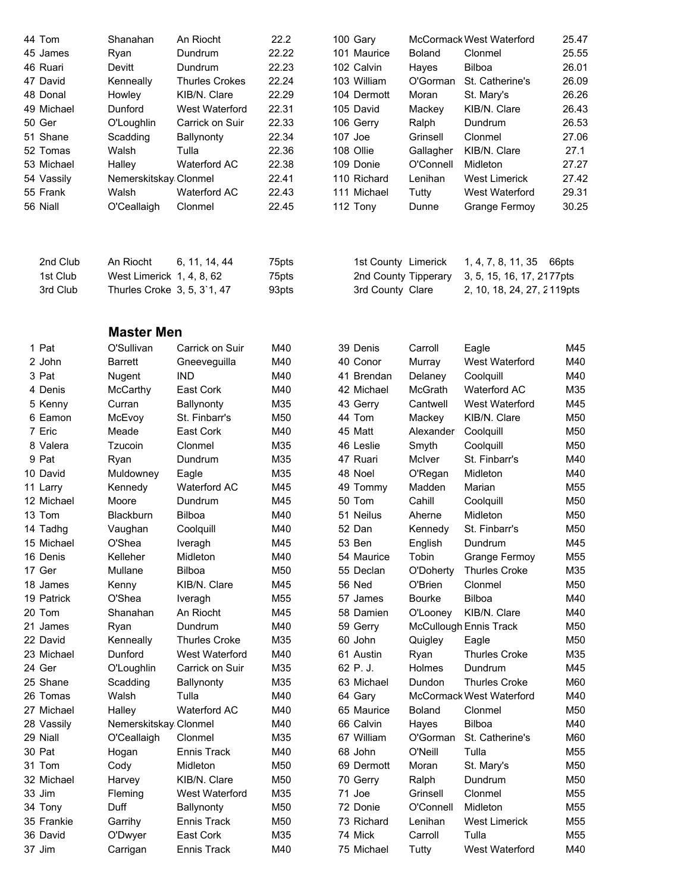| 44 Tom     | Shanahan                    | An Riocht             | 22.2  | 100 Gary             |               | McCormack West Waterford        | 25.47 |
|------------|-----------------------------|-----------------------|-------|----------------------|---------------|---------------------------------|-------|
| 45 James   | Ryan                        | Dundrum               | 22.22 | 101 Maurice          | <b>Boland</b> | Clonmel                         | 25.55 |
| 46 Ruari   | Devitt                      | Dundrum               | 22.23 | 102 Calvin           | Hayes         | Bilboa                          | 26.01 |
| 47 David   | Kenneally                   | <b>Thurles Crokes</b> | 22.24 | 103 William          | O'Gorman      | St. Catherine's                 | 26.09 |
| 48 Donal   | Howley                      | KIB/N. Clare          | 22.29 | 104 Dermott          | Moran         | St. Mary's                      | 26.26 |
| 49 Michael | Dunford                     | West Waterford        | 22.31 | 105 David            | Mackey        | KIB/N. Clare                    | 26.43 |
| 50 Ger     | O'Loughlin                  | Carrick on Suir       | 22.33 | 106 Gerry            | Ralph         | Dundrum                         | 26.53 |
| 51 Shane   | Scadding                    | Ballynonty            | 22.34 | 107 Joe              | Grinsell      | Clonmel                         | 27.06 |
| 52 Tomas   | Walsh                       | Tulla                 | 22.36 | 108 Ollie            | Gallagher     | KIB/N. Clare                    | 27.1  |
| 53 Michael | Halley                      | Waterford AC          | 22.38 | 109 Donie            | O'Connell     | Midleton                        | 27.27 |
| 54 Vassily | Nemerskitskay Clonmel       |                       | 22.41 | 110 Richard          | Lenihan       | <b>West Limerick</b>            | 27.42 |
| 55 Frank   | Walsh                       | Waterford AC          | 22.43 | 111 Michael          | Tutty         | West Waterford                  | 29.31 |
| 56 Niall   | O'Ceallaigh                 | Clonmel               | 22.45 | 112 Tony             | Dunne         | Grange Fermoy                   | 30.25 |
| 2nd Club   | An Riocht                   | 6, 11, 14, 44         | 75pts | 1st County Limerick  |               | 1, 4, 7, 8, 11, 35              | 66pts |
| 1st Club   | West Limerick 1, 4, 8, 62   |                       | 75pts | 2nd County Tipperary |               | 3, 5, 15, 16, 17, 2177pts       |       |
| 3rd Club   | Thurles Croke 3, 5, 3'1, 47 |                       | 93pts | 3rd County Clare     |               | 2, 10, 18, 24, 27, 2119pts      |       |
|            |                             |                       |       |                      |               |                                 |       |
|            | <b>Master Men</b>           |                       |       |                      |               |                                 |       |
| 1 Pat      | O'Sullivan                  | Carrick on Suir       | M40   | 39 Denis             | Carroll       | Eagle                           | M45   |
| 2 John     | <b>Barrett</b>              | Gneeveguilla          | M40   | 40 Conor             | Murray        | West Waterford                  | M40   |
| 3 Pat      | Nugent                      | <b>IND</b>            | M40   | 41 Brendan           | Delaney       | Coolquill                       | M40   |
| 4 Denis    | McCarthy                    | East Cork             | M40   | 42 Michael           | McGrath       | Waterford AC                    | M35   |
| 5 Kenny    | Curran                      | Ballynonty            | M35   | 43 Gerry             | Cantwell      | West Waterford                  | M45   |
| 6 Eamon    | McEvoy                      | St. Finbarr's         | M50   | 44 Tom               | Mackey        | KIB/N. Clare                    | M50   |
| 7 Eric     | Meade                       | East Cork             | M40   | 45 Matt              | Alexander     | Coolquill                       | M50   |
| 8 Valera   | Tzucoin                     | Clonmel               | M35   | 46 Leslie            | Smyth         | Coolquill                       | M50   |
| 9 Pat      | Ryan                        | Dundrum               | M35   | 47 Ruari             | McIver        | St. Finbarr's                   | M40   |
| 10 David   | Muldowney                   | Eagle                 | M35   | 48 Noel              | O'Regan       | Midleton                        | M40   |
| 11 Larry   | Kennedy                     | <b>Waterford AC</b>   | M45   | 49 Tommy             | Madden        | Marian                          | M55   |
| 12 Michael | Moore                       | Dundrum               | M45   | 50 Tom               | Cahill        | Coolquill                       | M50   |
| 13 Tom     | Blackburn                   | Bilboa                | M40   | 51 Neilus            | Aherne        | Midleton                        | M50   |
| 14 Tadhg   | Vaughan                     | Coolquill             | M40   | 52 Dan               | Kennedy       | St. Finbarr's                   | M50   |
| 15 Michael | O'Shea                      | Iveragh               | M45   | 53 Ben               | English       | Dundrum                         | M45   |
| 16 Denis   | Kelleher                    | Midleton              | M40   | 54 Maurice           | Tobin         | Grange Fermoy                   | M55   |
| 17 Ger     | Mullane                     | Bilboa                | M50   | 55 Declan            | O'Doherty     | <b>Thurles Croke</b>            | M35   |
| 18 James   | Kenny                       | KIB/N. Clare          | M45   | 56 Ned               | O'Brien       | Clonmel                         | M50   |
| 19 Patrick | O'Shea                      | Iveragh               | M55   | 57 James             | <b>Bourke</b> | <b>Bilboa</b>                   | M40   |
| 20 Tom     | Shanahan                    | An Riocht             | M45   | 58 Damien            | O'Looney      | KIB/N. Clare                    | M40   |
| 21 James   | Ryan                        | Dundrum               | M40   | 59 Gerry             |               | <b>McCullough Ennis Track</b>   | M50   |
| 22 David   | Kenneally                   | <b>Thurles Croke</b>  | M35   | 60 John              | Quigley       | Eagle                           | M50   |
| 23 Michael | Dunford                     | West Waterford        | M40   | 61 Austin            | Ryan          | <b>Thurles Croke</b>            | M35   |
| 24 Ger     | O'Loughlin                  | Carrick on Suir       | M35   | 62 P.J.              | Holmes        | Dundrum                         | M45   |
| 25 Shane   | Scadding                    | Ballynonty            | M35   | 63 Michael           | Dundon        | <b>Thurles Croke</b>            | M60   |
| 26 Tomas   | Walsh                       | Tulla                 | M40   | 64 Gary              |               | <b>McCormack West Waterford</b> | M40   |
| 27 Michael | Halley                      | <b>Waterford AC</b>   | M40   | 65 Maurice           | <b>Boland</b> | Clonmel                         | M50   |
| 28 Vassily | Nemerskitskay Clonmel       |                       | M40   | 66 Calvin            | Hayes         | Bilboa                          | M40   |
| 29 Niall   | O'Ceallaigh                 | Clonmel               | M35   | 67 William           | O'Gorman      | St. Catherine's                 | M60   |
| 30 Pat     | Hogan                       | Ennis Track           | M40   | 68 John              | O'Neill       | Tulla                           | M55   |
| 31 Tom     | Cody                        | Midleton              | M50   | 69 Dermott           | Moran         | St. Mary's                      | M50   |
| 32 Michael | Harvey                      | KIB/N. Clare          | M50   | 70 Gerry             | Ralph         | Dundrum                         | M50   |
| 33 Jim     | Fleming                     | West Waterford        | M35   | 71 Joe               | Grinsell      | Clonmel                         | M55   |
| 34 Tony    | Duff                        | Ballynonty            | M50   | 72 Donie             | O'Connell     | Midleton                        | M55   |
| 35 Frankie | Garrihy                     | Ennis Track           | M50   | 73 Richard           | Lenihan       | <b>West Limerick</b>            | M55   |
| 36 David   | O'Dwyer                     | East Cork             | M35   | 74 Mick              | Carroll       | Tulla                           | M55   |
| 37 Jim     | Carrigan                    | Ennis Track           | M40   | 75 Michael           | Tutty         | West Waterford                  | M40   |